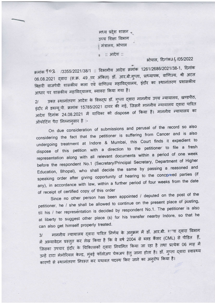मध्य प्रदेश शासन उच्च शिक्षा विभाग मंत्रालय, भोपाल : आदेश ::

## **ओपाल, दिलांक 2 4/05/2022**

क्रमांक 903 /3355/2021/38/1 :: विभागीय आदेश क्रमांक 1261/2686/2021/38-1, दिनांक 06.08.2021 द्वारा (स.क्र. 49 पर अंकित) डॉ. आर.बी.गुप्ता, प्राध्यापक, वाणिज्य, श्री अटल बिहारी वाजपेयी शासकीय कला एवं वाणिज्य महाविद्यालय, इंदौर का स्थानांतरण प्रशासकीय आधार पर शासकीय महाविद्यालय, ब्यावरा किया गया है।

zl 3Fd Felrdia{or' :nisr + frs(tr !n' Tdr €m ar-d-drq {fl;qr{Ilerq' qo3fi'5' zı — उक्त स्थानातरण आदेश सम्मान् ।<br>इंदौर में डब्ल्यू.पी. क्रमांक 15785/2021 दायर की गई, जिसमें माननीय न्यायालय का ।<br>संस्कृत का स्वास्थ्य का स्वास्थ्य को स्वास्थ्य को अंदिरावाद का किया है। माननीय न्यायालय का अंदिरावाद का अ आदेश दिनांक 24.08.2021 में याचिका को dispose of किया है। माननीय न्यायालय का ऑपरेटिंग पैरा निम्नानुसार है :-

On due consideration of submissions and perusal of the record so also considering the fact that the petitioner is suffering from Cancer and is also undergoing treatment at Indore & Mumbai, this Court finds it expedient to dispose of this petition with a direction to the petitioner to file a fresh representation along with all relevant documents within a period of one week before the respondent No.1 (Secretary/Principal Secretary, Department of Higher Education, Bhopal), who shall decide the same by passing a reasoned and speaking order after giving opportunity of hearing to the concerned parties (if any), in accordance with law, within a further period of four weeks from the date of receipt of certified copy of this order

Since no other person has been appointed / deputed on the post of the petitioner, he / she shall be allowed to continue on the present place of posting, till his / her representation is decided by respondent No.1. The petitioner is also at liberty to suggest other place (s) for his transfer nearby Indore, so that he can also get himself properly treated.

3l arfrdrq ;qrfierq {dRT crft-d Fdrq + r"d-fiH fr d em'fi t-T EqTtI Ee{r4 में अभ्यावेदन प्रस्तुत कर लेख किया है कि वे वर्ष 2004 से ब्लड कैंसर (CML) से पीडित हैं, जिसका उपचार इंदौर के चिकित्सकों द्वारा नियमित किया जा रहा है तथा प्रत्येक 06 माह में उन्हें टाटा मेमोरियल केन्द्र, मुंबई फॉलोअप चेकअप हेतु जाना होता है। डॉ. गुप्ता द्वारा स्वास्थ्य कारणों से स्थानांतरण निरस्त कर यथावत पदस्थ किए जाने का अनुरोध किया है।